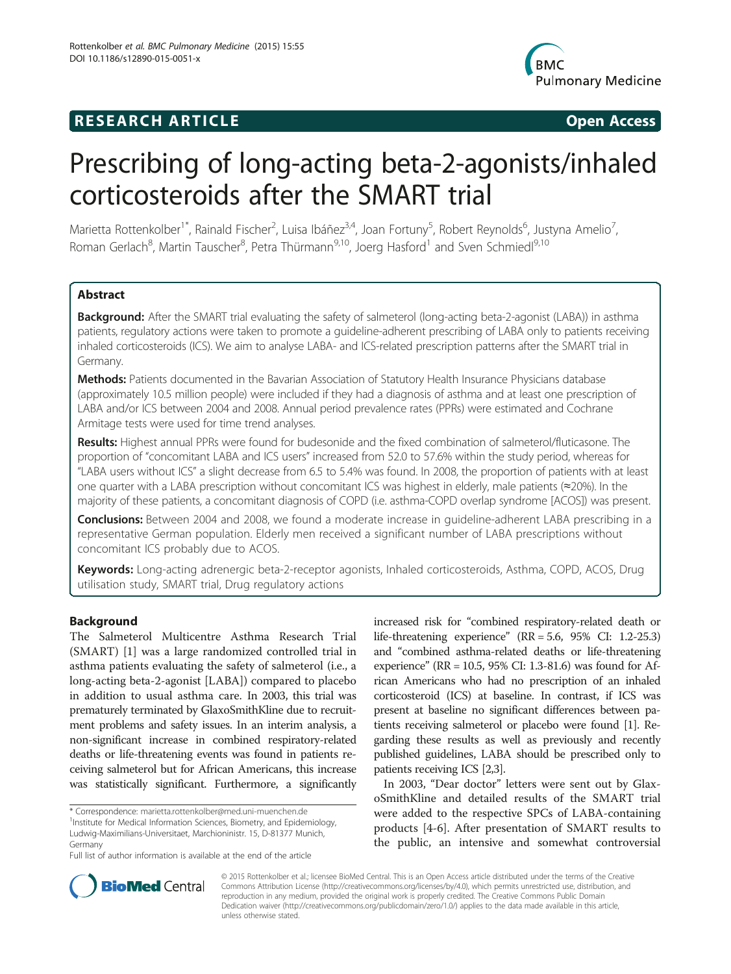## **RESEARCH ARTICLE Example 2014 CONSIDERING CONSIDERING CONSIDERING CONSIDERING CONSIDERING CONSIDERING CONSIDERING CONSIDERING CONSIDERING CONSIDERING CONSIDERING CONSIDERING CONSIDERING CONSIDERING CONSIDERING CONSIDE**



# Prescribing of long-acting beta-2-agonists/inhaled corticosteroids after the SMART trial

Marietta Rottenkolber<sup>1\*</sup>, Rainald Fischer<sup>2</sup>, Luisa Ibáñez<sup>3,4</sup>, Joan Fortuny<sup>5</sup>, Robert Reynolds<sup>6</sup>, Justyna Amelio<sup>7</sup> , Roman Gerlach<sup>8</sup>, Martin Tauscher<sup>8</sup>, Petra Thürmann<sup>9,10</sup>, Joerg Hasford<sup>1</sup> and Sven Schmiedl<sup>9,10</sup>

## Abstract

Background: After the SMART trial evaluating the safety of salmeterol (long-acting beta-2-agonist (LABA)) in asthma patients, regulatory actions were taken to promote a guideline-adherent prescribing of LABA only to patients receiving inhaled corticosteroids (ICS). We aim to analyse LABA- and ICS-related prescription patterns after the SMART trial in Germany.

Methods: Patients documented in the Bavarian Association of Statutory Health Insurance Physicians database (approximately 10.5 million people) were included if they had a diagnosis of asthma and at least one prescription of LABA and/or ICS between 2004 and 2008. Annual period prevalence rates (PPRs) were estimated and Cochrane Armitage tests were used for time trend analyses.

Results: Highest annual PPRs were found for budesonide and the fixed combination of salmeterol/fluticasone. The proportion of "concomitant LABA and ICS users" increased from 52.0 to 57.6% within the study period, whereas for "LABA users without ICS" a slight decrease from 6.5 to 5.4% was found. In 2008, the proportion of patients with at least one quarter with a LABA prescription without concomitant ICS was highest in elderly, male patients (≈20%). In the majority of these patients, a concomitant diagnosis of COPD (i.e. asthma-COPD overlap syndrome [ACOS]) was present.

**Conclusions:** Between 2004 and 2008, we found a moderate increase in quideline-adherent LABA prescribing in a representative German population. Elderly men received a significant number of LABA prescriptions without concomitant ICS probably due to ACOS.

Keywords: Long-acting adrenergic beta-2-receptor agonists, Inhaled corticosteroids, Asthma, COPD, ACOS, Drug utilisation study, SMART trial, Drug regulatory actions

## Background

The Salmeterol Multicentre Asthma Research Trial (SMART) [[1](#page-8-0)] was a large randomized controlled trial in asthma patients evaluating the safety of salmeterol (i.e., a long-acting beta-2-agonist [LABA]) compared to placebo in addition to usual asthma care. In 2003, this trial was prematurely terminated by GlaxoSmithKline due to recruitment problems and safety issues. In an interim analysis, a non-significant increase in combined respiratory-related deaths or life-threatening events was found in patients receiving salmeterol but for African Americans, this increase was statistically significant. Furthermore, a significantly

\* Correspondence: [marietta.rottenkolber@med.uni-muenchen.de](mailto:marietta.rottenkolber@med.uni-muenchen.de) <sup>1</sup>  $<sup>1</sup>$ Institute for Medical Information Sciences, Biometry, and Epidemiology,</sup> Ludwig-Maximilians-Universitaet, Marchioninistr. 15, D-81377 Munich, Germany

increased risk for "combined respiratory-related death or life-threatening experience" (RR = 5.6, 95% CI: 1.2-25.3) and "combined asthma-related deaths or life-threatening experience" (RR = 10.5, 95% CI: 1.3-81.6) was found for African Americans who had no prescription of an inhaled corticosteroid (ICS) at baseline. In contrast, if ICS was present at baseline no significant differences between patients receiving salmeterol or placebo were found [\[1](#page-8-0)]. Regarding these results as well as previously and recently published guidelines, LABA should be prescribed only to patients receiving ICS [[2,3](#page-8-0)].

In 2003, "Dear doctor" letters were sent out by GlaxoSmithKline and detailed results of the SMART trial were added to the respective SPCs of LABA-containing products [[4-6](#page-8-0)]. After presentation of SMART results to the public, an intensive and somewhat controversial



© 2015 Rottenkolber et al.; licensee BioMed Central. This is an Open Access article distributed under the terms of the Creative Commons Attribution License [\(http://creativecommons.org/licenses/by/4.0\)](http://creativecommons.org/licenses/by/4.0), which permits unrestricted use, distribution, and reproduction in any medium, provided the original work is properly credited. The Creative Commons Public Domain Dedication waiver [\(http://creativecommons.org/publicdomain/zero/1.0/](http://creativecommons.org/publicdomain/zero/1.0/)) applies to the data made available in this article, unless otherwise stated.

Full list of author information is available at the end of the article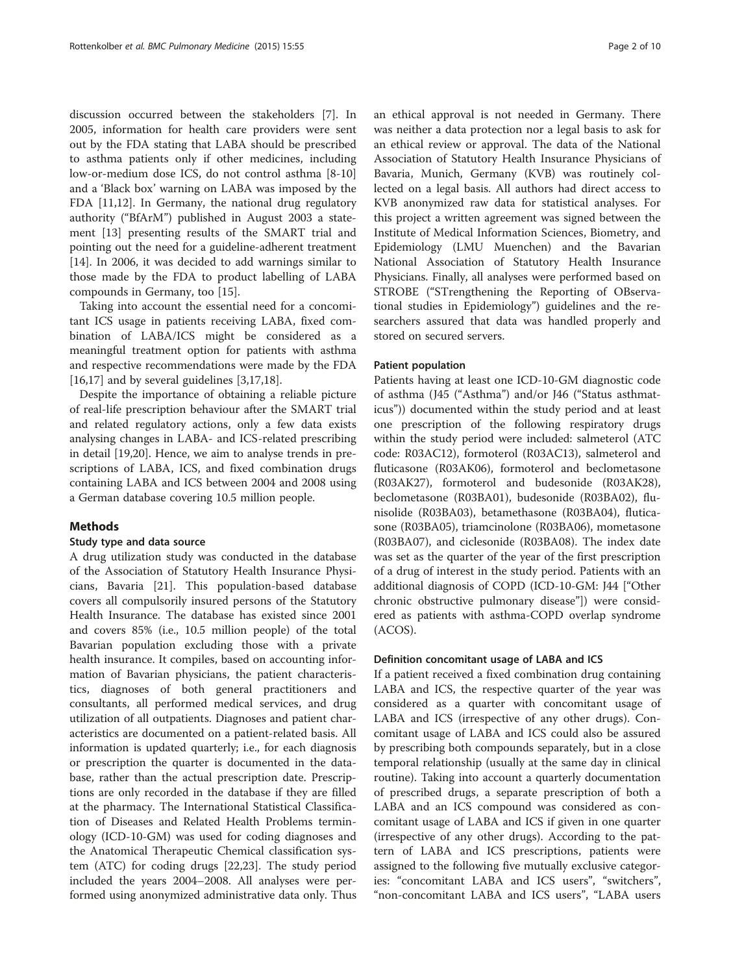discussion occurred between the stakeholders [[7](#page-8-0)]. In 2005, information for health care providers were sent out by the FDA stating that LABA should be prescribed to asthma patients only if other medicines, including low-or-medium dose ICS, do not control asthma [\[8-10](#page-8-0)] and a 'Black box' warning on LABA was imposed by the FDA [\[11,12\]](#page-8-0). In Germany, the national drug regulatory authority ("BfArM") published in August 2003 a statement [\[13\]](#page-8-0) presenting results of the SMART trial and pointing out the need for a guideline-adherent treatment [[14\]](#page-8-0). In 2006, it was decided to add warnings similar to those made by the FDA to product labelling of LABA compounds in Germany, too [[15](#page-8-0)].

Taking into account the essential need for a concomitant ICS usage in patients receiving LABA, fixed combination of LABA/ICS might be considered as a meaningful treatment option for patients with asthma and respective recommendations were made by the FDA [[16,17\]](#page-8-0) and by several guidelines [[3,17,18\]](#page-8-0).

Despite the importance of obtaining a reliable picture of real-life prescription behaviour after the SMART trial and related regulatory actions, only a few data exists analysing changes in LABA- and ICS-related prescribing in detail [\[19,20\]](#page-8-0). Hence, we aim to analyse trends in prescriptions of LABA, ICS, and fixed combination drugs containing LABA and ICS between 2004 and 2008 using a German database covering 10.5 million people.

## Methods

### Study type and data source

A drug utilization study was conducted in the database of the Association of Statutory Health Insurance Physicians, Bavaria [\[21\]](#page-8-0). This population-based database covers all compulsorily insured persons of the Statutory Health Insurance. The database has existed since 2001 and covers 85% (i.e., 10.5 million people) of the total Bavarian population excluding those with a private health insurance. It compiles, based on accounting information of Bavarian physicians, the patient characteristics, diagnoses of both general practitioners and consultants, all performed medical services, and drug utilization of all outpatients. Diagnoses and patient characteristics are documented on a patient-related basis. All information is updated quarterly; i.e., for each diagnosis or prescription the quarter is documented in the database, rather than the actual prescription date. Prescriptions are only recorded in the database if they are filled at the pharmacy. The International Statistical Classification of Diseases and Related Health Problems terminology (ICD-10-GM) was used for coding diagnoses and the Anatomical Therapeutic Chemical classification system (ATC) for coding drugs [[22,23](#page-8-0)]. The study period included the years 2004–2008. All analyses were performed using anonymized administrative data only. Thus

an ethical approval is not needed in Germany. There was neither a data protection nor a legal basis to ask for an ethical review or approval. The data of the National Association of Statutory Health Insurance Physicians of Bavaria, Munich, Germany (KVB) was routinely collected on a legal basis. All authors had direct access to KVB anonymized raw data for statistical analyses. For this project a written agreement was signed between the Institute of Medical Information Sciences, Biometry, and Epidemiology (LMU Muenchen) and the Bavarian National Association of Statutory Health Insurance Physicians. Finally, all analyses were performed based on STROBE ("STrengthening the Reporting of OBservational studies in Epidemiology") guidelines and the researchers assured that data was handled properly and stored on secured servers.

#### Patient population

Patients having at least one ICD-10-GM diagnostic code of asthma (J45 ("Asthma") and/or J46 ("Status asthmaticus")) documented within the study period and at least one prescription of the following respiratory drugs within the study period were included: salmeterol (ATC code: R03AC12), formoterol (R03AC13), salmeterol and fluticasone (R03AK06), formoterol and beclometasone (R03AK27), formoterol and budesonide (R03AK28), beclometasone (R03BA01), budesonide (R03BA02), flunisolide (R03BA03), betamethasone (R03BA04), fluticasone (R03BA05), triamcinolone (R03BA06), mometasone (R03BA07), and ciclesonide (R03BA08). The index date was set as the quarter of the year of the first prescription of a drug of interest in the study period. Patients with an additional diagnosis of COPD (ICD-10-GM: J44 ["Other chronic obstructive pulmonary disease"]) were considered as patients with asthma-COPD overlap syndrome (ACOS).

#### Definition concomitant usage of LABA and ICS

If a patient received a fixed combination drug containing LABA and ICS, the respective quarter of the year was considered as a quarter with concomitant usage of LABA and ICS (irrespective of any other drugs). Concomitant usage of LABA and ICS could also be assured by prescribing both compounds separately, but in a close temporal relationship (usually at the same day in clinical routine). Taking into account a quarterly documentation of prescribed drugs, a separate prescription of both a LABA and an ICS compound was considered as concomitant usage of LABA and ICS if given in one quarter (irrespective of any other drugs). According to the pattern of LABA and ICS prescriptions, patients were assigned to the following five mutually exclusive categories: "concomitant LABA and ICS users", "switchers", "non-concomitant LABA and ICS users", "LABA users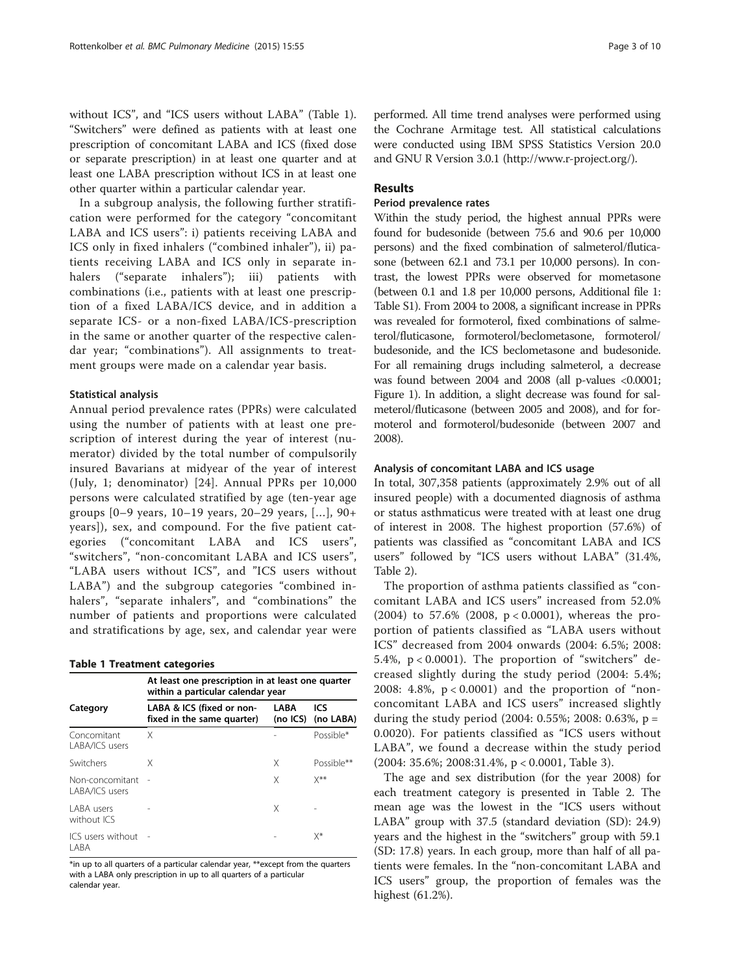without ICS", and "ICS users without LABA" (Table 1). "Switchers" were defined as patients with at least one prescription of concomitant LABA and ICS (fixed dose or separate prescription) in at least one quarter and at least one LABA prescription without ICS in at least one other quarter within a particular calendar year.

In a subgroup analysis, the following further stratification were performed for the category "concomitant LABA and ICS users": i) patients receiving LABA and ICS only in fixed inhalers ("combined inhaler"), ii) patients receiving LABA and ICS only in separate inhalers ("separate inhalers"); iii) patients with combinations (i.e., patients with at least one prescription of a fixed LABA/ICS device, and in addition a separate ICS- or a non-fixed LABA/ICS-prescription in the same or another quarter of the respective calendar year; "combinations"). All assignments to treatment groups were made on a calendar year basis.

#### Statistical analysis

Annual period prevalence rates (PPRs) were calculated using the number of patients with at least one prescription of interest during the year of interest (numerator) divided by the total number of compulsorily insured Bavarians at midyear of the year of interest (July, 1; denominator) [[24\]](#page-8-0). Annual PPRs per 10,000 persons were calculated stratified by age (ten-year age groups [0–9 years, 10–19 years, 20–29 years, […], 90+ years]), sex, and compound. For the five patient categories ("concomitant LABA and ICS users", "switchers", "non-concomitant LABA and ICS users", "LABA users without ICS", and "ICS users without LABA") and the subgroup categories "combined inhalers", "separate inhalers", and "combinations" the number of patients and proportions were calculated and stratifications by age, sex, and calendar year were

#### Table 1 Treatment categories

|                                   | At least one prescription in at least one quarter<br>within a particular calendar year |                  |                  |  |  |  |  |  |
|-----------------------------------|----------------------------------------------------------------------------------------|------------------|------------------|--|--|--|--|--|
| Category                          | LABA & ICS (fixed or non-<br>fixed in the same quarter)                                | LABA<br>(no ICS) | ICS<br>(no LABA) |  |  |  |  |  |
| Concomitant<br>LABA/ICS users     | X                                                                                      |                  | Possible*        |  |  |  |  |  |
| Switchers                         | X                                                                                      | X                | Possible**       |  |  |  |  |  |
| Non-concomitant<br>LABA/ICS users |                                                                                        | X                | $X^{**}$         |  |  |  |  |  |
| I ABA users<br>without ICS        |                                                                                        | X                |                  |  |  |  |  |  |
| ICS users without<br>I ABA        |                                                                                        |                  | $X^*$            |  |  |  |  |  |

\*in up to all quarters of a particular calendar year, \*\*except from the quarters with a LABA only prescription in up to all quarters of a particular calendar year.

performed. All time trend analyses were performed using the Cochrane Armitage test. All statistical calculations were conducted using IBM SPSS Statistics Version 20.0 and GNU R Version 3.0.1 (<http://www.r-project.org/>).

## Results

## Period prevalence rates

Within the study period, the highest annual PPRs were found for budesonide (between 75.6 and 90.6 per 10,000 persons) and the fixed combination of salmeterol/fluticasone (between 62.1 and 73.1 per 10,000 persons). In contrast, the lowest PPRs were observed for mometasone (between 0.1 and 1.8 per 10,000 persons, Additional file [1](#page-7-0): Table S1). From 2004 to 2008, a significant increase in PPRs was revealed for formoterol, fixed combinations of salmeterol/fluticasone, formoterol/beclometasone, formoterol/ budesonide, and the ICS beclometasone and budesonide. For all remaining drugs including salmeterol, a decrease was found between 2004 and 2008 (all p-values <0.0001; Figure [1\)](#page-3-0). In addition, a slight decrease was found for salmeterol/fluticasone (between 2005 and 2008), and for formoterol and formoterol/budesonide (between 2007 and 2008).

## Analysis of concomitant LABA and ICS usage

In total, 307,358 patients (approximately 2.9% out of all insured people) with a documented diagnosis of asthma or status asthmaticus were treated with at least one drug of interest in 2008. The highest proportion (57.6%) of patients was classified as "concomitant LABA and ICS users" followed by "ICS users without LABA" (31.4%, Table [2\)](#page-3-0).

The proportion of asthma patients classified as "concomitant LABA and ICS users" increased from 52.0% (2004) to 57.6% (2008, p < 0.0001), whereas the proportion of patients classified as "LABA users without ICS" decreased from 2004 onwards (2004: 6.5%; 2008: 5.4%, p < 0.0001). The proportion of "switchers" decreased slightly during the study period (2004: 5.4%; 2008: 4.8%, p < 0.0001) and the proportion of "nonconcomitant LABA and ICS users" increased slightly during the study period (2004: 0.55%; 2008: 0.63%, p = 0.0020). For patients classified as "ICS users without LABA", we found a decrease within the study period (2004: 35.6%; 2008:31.4%, p < 0.0001, Table [3\)](#page-4-0).

The age and sex distribution (for the year 2008) for each treatment category is presented in Table [2](#page-3-0). The mean age was the lowest in the "ICS users without LABA" group with 37.5 (standard deviation (SD): 24.9) years and the highest in the "switchers" group with 59.1 (SD: 17.8) years. In each group, more than half of all patients were females. In the "non-concomitant LABA and ICS users" group, the proportion of females was the highest (61.2%).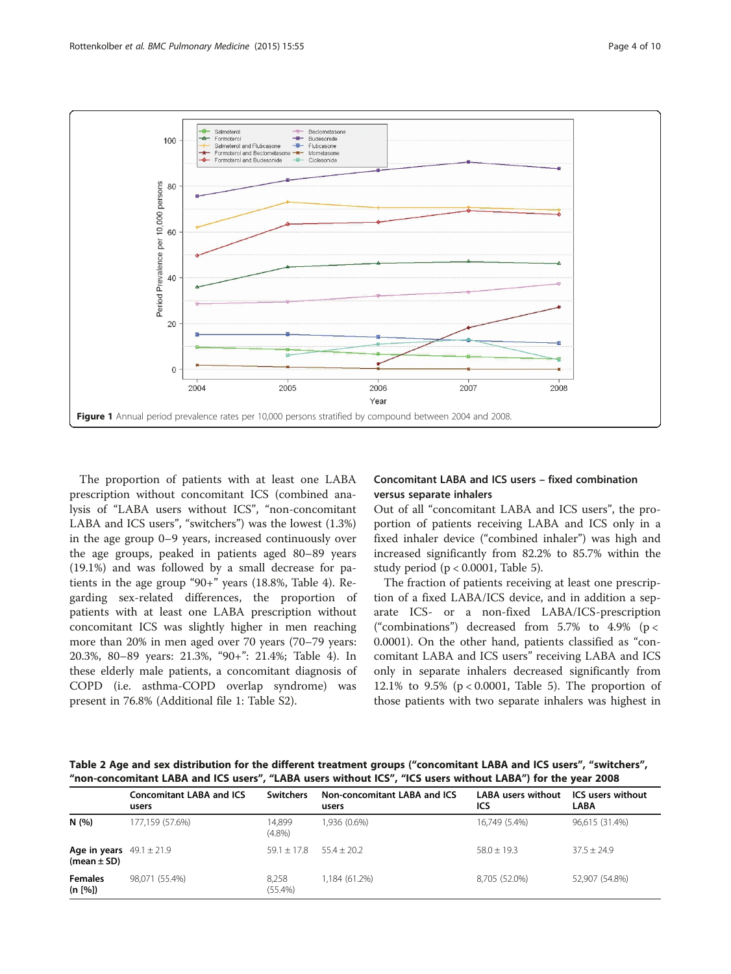<span id="page-3-0"></span>

The proportion of patients with at least one LABA prescription without concomitant ICS (combined analysis of "LABA users without ICS", "non-concomitant LABA and ICS users", "switchers") was the lowest (1.3%) in the age group 0–9 years, increased continuously over the age groups, peaked in patients aged 80–89 years (19.1%) and was followed by a small decrease for patients in the age group "90+" years (18.8%, Table [4\)](#page-4-0). Regarding sex-related differences, the proportion of patients with at least one LABA prescription without concomitant ICS was slightly higher in men reaching more than 20% in men aged over 70 years (70–79 years: 20.3%, 80–89 years: 21.3%, "90+": 21.4%; Table [4](#page-4-0)). In these elderly male patients, a concomitant diagnosis of COPD (i.e. asthma-COPD overlap syndrome) was present in 76.8% (Additional file [1:](#page-7-0) Table S2).

## Concomitant LABA and ICS users – fixed combination versus separate inhalers

Out of all "concomitant LABA and ICS users", the proportion of patients receiving LABA and ICS only in a fixed inhaler device ("combined inhaler") was high and increased significantly from 82.2% to 85.7% within the study period (p < 0.0001, Table [5](#page-5-0)).

The fraction of patients receiving at least one prescription of a fixed LABA/ICS device, and in addition a separate ICS- or a non-fixed LABA/ICS-prescription ("combinations") decreased from 5.7% to 4.9% ( $p <$ 0.0001). On the other hand, patients classified as "concomitant LABA and ICS users" receiving LABA and ICS only in separate inhalers decreased significantly from 12.1% to 9.5% (p < 0.0001, Table [5](#page-5-0)). The proportion of those patients with two separate inhalers was highest in

Table 2 Age and sex distribution for the different treatment groups ("concomitant LABA and ICS users", "switchers", "non-concomitant LABA and ICS users", "LABA users without ICS", "ICS users without LABA") for the year 2008

|                                                        | <b>Concomitant LABA and ICS</b><br>users | <b>Switchers</b>    | Non-concomitant LABA and ICS<br>users | LABA users without<br>ICS | ICS users without<br>LABA |
|--------------------------------------------------------|------------------------------------------|---------------------|---------------------------------------|---------------------------|---------------------------|
| N(%)                                                   | 177,159 (57.6%)                          | 14,899<br>$(4.8\%)$ | 1,936 (0.6%)                          | 16,749 (5.4%)             | 96,615 (31.4%)            |
| <b>Age in years</b> $49.1 \pm 21.9$<br>(mean $\pm$ SD) |                                          | $59.1 + 17.8$       | $554 + 202$                           | $58.0 + 19.3$             | $37.5 + 24.9$             |
| <b>Females</b><br>(n [%])                              | 98,071 (55.4%)                           | 8.258<br>$(55.4\%)$ | 1,184 (61.2%)                         | 8,705 (52.0%)             | 52,907 (54.8%)            |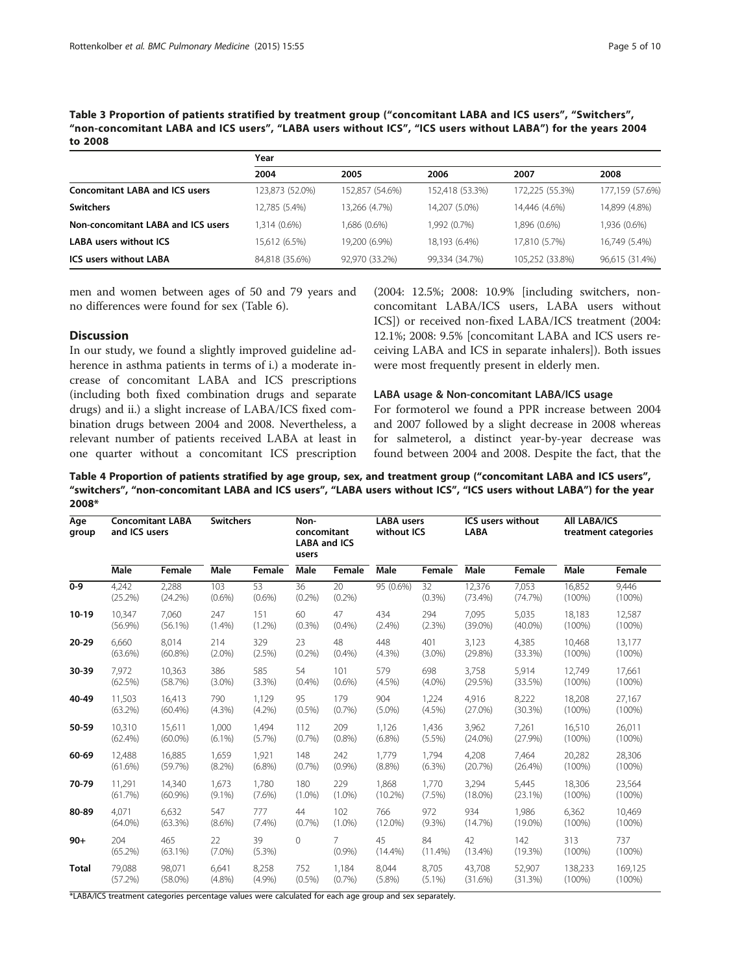<span id="page-4-0"></span>Table 3 Proportion of patients stratified by treatment group ("concomitant LABA and ICS users", "Switchers", "non-concomitant LABA and ICS users", "LABA users without ICS", "ICS users without LABA") for the years 2004 to 2008

|                                       | Year            |                 |                 |                 |                 |  |  |  |
|---------------------------------------|-----------------|-----------------|-----------------|-----------------|-----------------|--|--|--|
|                                       | 2004            | 2005            | 2006            | 2007            | 2008            |  |  |  |
| <b>Concomitant LABA and ICS users</b> | 123,873 (52.0%) | 152,857 (54.6%) | 152,418 (53.3%) | 172,225 (55.3%) | 177,159 (57.6%) |  |  |  |
| <b>Switchers</b>                      | 12,785 (5.4%)   | 13,266 (4.7%)   | 14,207 (5.0%)   | 14,446 (4.6%)   | 14,899 (4.8%)   |  |  |  |
| Non-concomitant LABA and ICS users    | 1,314 (0.6%)    | 1,686 (0.6%)    | 1,992 (0.7%)    | 1,896 (0.6%)    | 1,936 (0.6%)    |  |  |  |
| <b>LABA users without ICS</b>         | 15,612 (6.5%)   | 19,200 (6.9%)   | 18,193 (6.4%)   | 17,810 (5.7%)   | 16,749 (5.4%)   |  |  |  |
| <b>ICS users without LABA</b>         | 84,818 (35.6%)  | 92,970 (33.2%)  | 99,334 (34.7%)  | 105,252 (33.8%) | 96,615 (31.4%)  |  |  |  |

men and women between ages of 50 and 79 years and no differences were found for sex (Table [6\)](#page-5-0).

## **Discussion**

In our study, we found a slightly improved guideline adherence in asthma patients in terms of i.) a moderate increase of concomitant LABA and ICS prescriptions (including both fixed combination drugs and separate drugs) and ii.) a slight increase of LABA/ICS fixed combination drugs between 2004 and 2008. Nevertheless, a relevant number of patients received LABA at least in one quarter without a concomitant ICS prescription

(2004: 12.5%; 2008: 10.9% [including switchers, nonconcomitant LABA/ICS users, LABA users without ICS]) or received non-fixed LABA/ICS treatment (2004: 12.1%; 2008: 9.5% [concomitant LABA and ICS users receiving LABA and ICS in separate inhalers]). Both issues were most frequently present in elderly men.

#### LABA usage & Non-concomitant LABA/ICS usage

For formoterol we found a PPR increase between 2004 and 2007 followed by a slight decrease in 2008 whereas for salmeterol, a distinct year-by-year decrease was found between 2004 and 2008. Despite the fact, that the

Table 4 Proportion of patients stratified by age group, sex, and treatment group ("concomitant LABA and ICS users", "switchers", "non-concomitant LABA and ICS users", "LABA users without ICS", "ICS users without LABA") for the year 2008\*

| Age<br>group | <b>Concomitant LABA</b><br>and ICS users |                   | <b>Switchers</b> |               | Non-<br>concomitant<br><b>LABA and ICS</b><br>users |              | <b>LABA</b> users<br>without ICS |                  | <b>ICS users without</b><br><b>LABA</b> |                  | <b>All LABA/ICS</b><br>treatment categories |                    |
|--------------|------------------------------------------|-------------------|------------------|---------------|-----------------------------------------------------|--------------|----------------------------------|------------------|-----------------------------------------|------------------|---------------------------------------------|--------------------|
|              | Male                                     | Female            | Male             | Female        | Male                                                | Female       | Male                             | Female           | <b>Male</b>                             | Female           | <b>Male</b>                                 | Female             |
| $0-9$        | 4,242<br>(25.2%)                         | 2,288<br>(24.2%)  | 103<br>(0.6%)    | 53<br>(0.6% ) | 36<br>(0.2%)                                        | 20<br>(0.2%) | 95 (0.6%)                        | 32<br>(0.3%)     | 12,376<br>$(73.4\%)$                    | 7,053<br>(74.7%) | 16,852<br>$(100\%)$                         | 9,446<br>$(100\%)$ |
| 10-19        | 10,347                                   | 7,060             | 247              | 151           | 60                                                  | 47           | 434                              | 294              | 7,095                                   | 5,035            | 18,183                                      | 12,587             |
|              | $(56.9\%)$                               | $(56.1\%)$        | $(1.4\%)$        | $(1.2\%)$     | (0.3%)                                              | (0.4% )      | $(2.4\%)$                        | (2.3%)           | $(39.0\%)$                              | $(40.0\%)$       | $(100\%)$                                   | $(100\%)$          |
| 20-29        | 6,660                                    | 8,014             | 214              | 329           | 23                                                  | 48           | 448                              | 401              | 3,123                                   | 4,385            | 10,468                                      | 13,177             |
|              | $(63.6\%)$                               | $(60.8\%)$        | $(2.0\%)$        | (2.5%)        | $(0.2\%)$                                           | (0.4% )      | $(4.3\%)$                        | $(3.0\%)$        | (29.8%)                                 | (33.3%)          | $(100\%)$                                   | $(100\%)$          |
| 30-39        | 7,972                                    | 10,363            | 386              | 585           | 54                                                  | 101          | 579                              | 698              | 3,758                                   | 5,914            | 12,749                                      | 17,661             |
|              | (62.5%)                                  | (58.7%)           | $(3.0\%)$        | (3.3%)        | (0.4% )                                             | (0.6%)       | $(4.5\%)$                        | $(4.0\%)$        | (29.5%)                                 | (33.5%)          | $(100\%)$                                   | $(100\%)$          |
| 40-49        | 11,503                                   | 16,413            | 790              | 1,129         | 95                                                  | 179          | 904                              | 1,224            | 4,916                                   | 8,222            | 18,208                                      | 27,167             |
|              | $(63.2\%)$                               | (60.4%)           | $(4.3\%)$        | $(4.2\%)$     | $(0.5\%)$                                           | (0.7%        | $(5.0\%)$                        | $(4.5\%)$        | $(27.0\%)$                              | (30.3%)          | $(100\%)$                                   | $(100\%)$          |
| 50-59        | 10,310                                   | 15,611            | 1,000            | 1,494         | 112                                                 | 209          | 1,126                            | 1,436            | 3,962                                   | 7,261            | 16,510                                      | 26,011             |
|              | (62.4%)                                  | $(60.0\%)$        | $(6.1\%)$        | (5.7%)        | (0.7%                                               | (0.8% )      | $(6.8\%)$                        | (5.5%)           | $(24.0\%)$                              | (27.9%)          | $(100\%)$                                   | $(100\%)$          |
| 60-69        | 12,488                                   | 16,885            | 1,659            | 1,921         | 148                                                 | 242          | 1,779                            | 1,794            | 4,208                                   | 7,464            | 20,282                                      | 28,306             |
|              | $(61.6\%)$                               | (59.7%)           | $(8.2\%)$        | $(6.8\%)$     | (0.7%                                               | (0.9%        | $(8.8\%)$                        | $(6.3\%)$        | (20.7%)                                 | $(26.4\%)$       | $(100\%)$                                   | $(100\%)$          |
| 70-79        | 11,291                                   | 14,340            | 1,673            | 1,780         | 180                                                 | 229          | 1,868                            | 1,770            | 3,294                                   | 5,445            | 18,306                                      | 23,564             |
|              | (61.7%)                                  | $(60.9\%)$        | $(9.1\%)$        | $(7.6\%)$     | $(1.0\%)$                                           | $(1.0\%)$    | $(10.2\%)$                       | (7.5%)           | $(18.0\%)$                              | $(23.1\%)$       | $(100\%)$                                   | $(100\%)$          |
| 80-89        | 4,071                                    | 6,632             | 547              | 777           | 44                                                  | 102          | 766                              | 972              | 934                                     | 1,986            | 6,362                                       | 10,469             |
|              | $(64.0\%)$                               | $(63.3\%)$        | $(8.6\%)$        | (7.4%)        | (0.7%                                               | $(1.0\%)$    | $(12.0\%)$                       | (9.3%)           | (14.7%)                                 | $(19.0\%)$       | $(100\%)$                                   | $(100\%)$          |
| $90+$        | 204<br>(65.2%)                           | 465<br>$(63.1\%)$ | 22<br>$(7.0\%)$  | 39<br>(5.3%)  | $\Omega$                                            | 7<br>(0.9%   | 45<br>$(14.4\%)$                 | 84<br>$(11.4\%)$ | 42<br>$(13.4\%)$                        | 142<br>(19.3%)   | 313<br>$(100\%)$                            | 737<br>$(100\%)$   |
| Total        | 79,088                                   | 98,071            | 6,641            | 8,258         | 752                                                 | 1,184        | 8,044                            | 8,705            | 43,708                                  | 52,907           | 138,233                                     | 169,125            |
|              | (57.2%)                                  | $(58.0\%)$        | $(4.8\%)$        | (4.9%)        | $(0.5\%)$                                           | (0.7%        | $(5.8\%)$                        | $(5.1\%)$        | $(31.6\%)$                              | (31.3%)          | $(100\%)$                                   | $(100\%)$          |

\*LABA/ICS treatment categories percentage values were calculated for each age group and sex separately.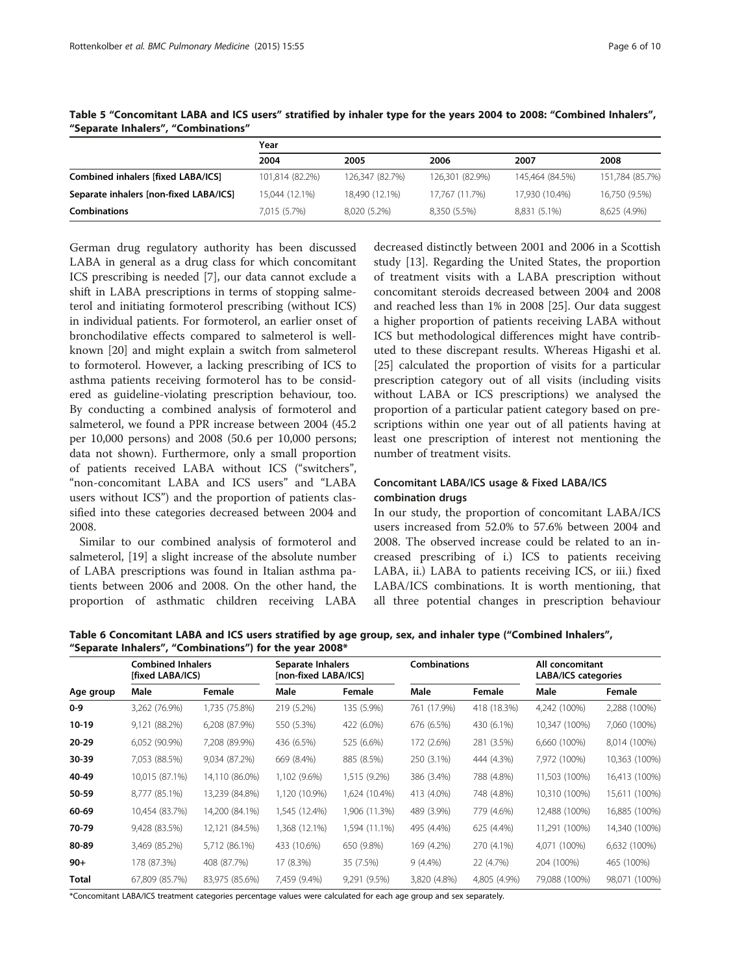|                                        | Year            |                 |                 |                 |                 |  |  |  |
|----------------------------------------|-----------------|-----------------|-----------------|-----------------|-----------------|--|--|--|
|                                        | 2004            | 2005            | 2006            | 2007            | 2008            |  |  |  |
| Combined inhalers [fixed LABA/ICS]     | 101,814 (82.2%) | 126,347 (82.7%) | 126,301 (82.9%) | 145,464 (84.5%) | 151,784 (85.7%) |  |  |  |
| Separate inhalers [non-fixed LABA/ICS] | 15,044 (12.1%)  | 18,490 (12.1%)  | 17.767 (11.7%)  | 17,930 (10.4%)  | 16,750 (9.5%)   |  |  |  |
| <b>Combinations</b>                    | 7.015 (5.7%)    | 8,020 (5.2%)    | 8,350 (5.5%)    | 8.831 (5.1%)    | 8,625 (4.9%)    |  |  |  |

<span id="page-5-0"></span>Table 5 "Concomitant LABA and ICS users" stratified by inhaler type for the years 2004 to 2008: "Combined Inhalers", "Separate Inhalers", "Combinations"

German drug regulatory authority has been discussed LABA in general as a drug class for which concomitant ICS prescribing is needed [\[7\]](#page-8-0), our data cannot exclude a shift in LABA prescriptions in terms of stopping salmeterol and initiating formoterol prescribing (without ICS) in individual patients. For formoterol, an earlier onset of bronchodilative effects compared to salmeterol is wellknown [\[20](#page-8-0)] and might explain a switch from salmeterol to formoterol. However, a lacking prescribing of ICS to asthma patients receiving formoterol has to be considered as guideline-violating prescription behaviour, too. By conducting a combined analysis of formoterol and salmeterol, we found a PPR increase between 2004 (45.2 per 10,000 persons) and 2008 (50.6 per 10,000 persons; data not shown). Furthermore, only a small proportion of patients received LABA without ICS ("switchers", "non-concomitant LABA and ICS users" and "LABA users without ICS") and the proportion of patients classified into these categories decreased between 2004 and 2008.

Similar to our combined analysis of formoterol and salmeterol, [[19](#page-8-0)] a slight increase of the absolute number of LABA prescriptions was found in Italian asthma patients between 2006 and 2008. On the other hand, the proportion of asthmatic children receiving LABA decreased distinctly between 2001 and 2006 in a Scottish study [[13\]](#page-8-0). Regarding the United States, the proportion of treatment visits with a LABA prescription without concomitant steroids decreased between 2004 and 2008 and reached less than 1% in 2008 [[25\]](#page-8-0). Our data suggest a higher proportion of patients receiving LABA without ICS but methodological differences might have contributed to these discrepant results. Whereas Higashi et al. [[25\]](#page-8-0) calculated the proportion of visits for a particular prescription category out of all visits (including visits without LABA or ICS prescriptions) we analysed the proportion of a particular patient category based on prescriptions within one year out of all patients having at least one prescription of interest not mentioning the number of treatment visits.

## Concomitant LABA/ICS usage & Fixed LABA/ICS combination drugs

In our study, the proportion of concomitant LABA/ICS users increased from 52.0% to 57.6% between 2004 and 2008. The observed increase could be related to an increased prescribing of i.) ICS to patients receiving LABA, ii.) LABA to patients receiving ICS, or iii.) fixed LABA/ICS combinations. It is worth mentioning, that all three potential changes in prescription behaviour

Table 6 Concomitant LABA and ICS users stratified by age group, sex, and inhaler type ("Combined Inhalers", "Separate Inhalers", "Combinations") for the year 2008\*

|              | <b>Combined Inhalers</b><br>[fixed LABA/ICS] |                | Separate Inhalers<br><b>Inon-fixed LABA/ICSI</b> |               | <b>Combinations</b> |              | All concomitant<br><b>LABA/ICS categories</b> |               |
|--------------|----------------------------------------------|----------------|--------------------------------------------------|---------------|---------------------|--------------|-----------------------------------------------|---------------|
| Age group    | Male                                         | Female         | Male                                             | Female        | <b>Male</b>         | Female       | Male                                          | Female        |
| $0-9$        | 3,262 (76.9%)                                | 1,735 (75.8%)  | 219 (5.2%)                                       | 135 (5.9%)    | 761 (17.9%)         | 418 (18.3%)  | 4,242 (100%)                                  | 2,288 (100%)  |
| $10-19$      | 9,121 (88.2%)                                | 6,208 (87.9%)  | 550 (5.3%)                                       | 422 (6.0%)    | 676 (6.5%)          | 430 (6.1%)   | 10,347 (100%)                                 | 7,060 (100%)  |
| $20 - 29$    | 6,052 (90.9%)                                | 7,208 (89.9%)  | 436 (6.5%)                                       | 525 (6.6%)    | 172 (2.6%)          | 281 (3.5%)   | 6,660 (100%)                                  | 8,014 (100%)  |
| 30-39        | 7,053 (88.5%)                                | 9,034 (87.2%)  | 669 (8.4%)                                       | 885 (8.5%)    | 250 (3.1%)          | 444 (4.3%)   | 7,972 (100%)                                  | 10,363 (100%) |
| 40-49        | 10,015 (87.1%)                               | 14,110 (86.0%) | 1,102 (9.6%)                                     | 1,515 (9.2%)  | 386 (3.4%)          | 788 (4.8%)   | 11,503 (100%)                                 | 16,413 (100%) |
| 50-59        | 8,777 (85.1%)                                | 13,239 (84.8%) | 1,120 (10.9%)                                    | 1,624 (10.4%) | 413 (4.0%)          | 748 (4.8%)   | 10,310 (100%)                                 | 15,611 (100%) |
| 60-69        | 10,454 (83.7%)                               | 14,200 (84.1%) | 1,545 (12.4%)                                    | 1,906 (11.3%) | 489 (3.9%)          | 779 (4.6%)   | 12,488 (100%)                                 | 16,885 (100%) |
| 70-79        | 9,428 (83.5%)                                | 12,121 (84.5%) | 1,368 (12.1%)                                    | 1,594 (11.1%) | 495 (4.4%)          | 625 (4.4%)   | 11,291 (100%)                                 | 14,340 (100%) |
| 80-89        | 3,469 (85.2%)                                | 5,712 (86.1%)  | 433 (10.6%)                                      | 650 (9.8%)    | 169 (4.2%)          | 270 (4.1%)   | 4,071 (100%)                                  | 6,632 (100%)  |
| $90+$        | 178 (87.3%)                                  | 408 (87.7%)    | 17 (8.3%)                                        | 35 (7.5%)     | $9(4.4\%)$          | 22 (4.7%)    | 204 (100%)                                    | 465 (100%)    |
| <b>Total</b> | 67,809 (85.7%)                               | 83,975 (85.6%) | 7,459 (9.4%)                                     | 9,291 (9.5%)  | 3,820 (4.8%)        | 4,805 (4.9%) | 79,088 (100%)                                 | 98,071 (100%) |

\*Concomitant LABA/ICS treatment categories percentage values were calculated for each age group and sex separately.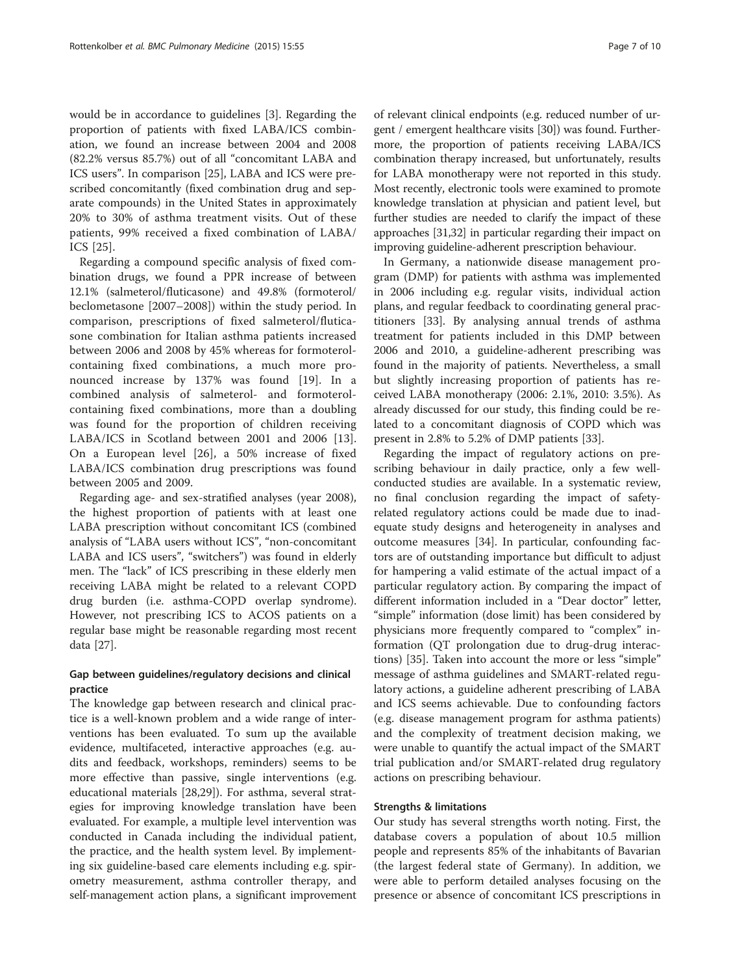would be in accordance to guidelines [\[3\]](#page-8-0). Regarding the proportion of patients with fixed LABA/ICS combination, we found an increase between 2004 and 2008 (82.2% versus 85.7%) out of all "concomitant LABA and ICS users". In comparison [\[25](#page-8-0)], LABA and ICS were prescribed concomitantly (fixed combination drug and separate compounds) in the United States in approximately 20% to 30% of asthma treatment visits. Out of these patients, 99% received a fixed combination of LABA/ ICS [\[25](#page-8-0)].

Regarding a compound specific analysis of fixed combination drugs, we found a PPR increase of between 12.1% (salmeterol/fluticasone) and 49.8% (formoterol/ beclometasone [2007–2008]) within the study period. In comparison, prescriptions of fixed salmeterol/fluticasone combination for Italian asthma patients increased between 2006 and 2008 by 45% whereas for formoterolcontaining fixed combinations, a much more pronounced increase by 137% was found [[19\]](#page-8-0). In a combined analysis of salmeterol- and formoterolcontaining fixed combinations, more than a doubling was found for the proportion of children receiving LABA/ICS in Scotland between 2001 and 2006 [\[13](#page-8-0)]. On a European level [[26\]](#page-8-0), a 50% increase of fixed LABA/ICS combination drug prescriptions was found between 2005 and 2009.

Regarding age- and sex-stratified analyses (year 2008), the highest proportion of patients with at least one LABA prescription without concomitant ICS (combined analysis of "LABA users without ICS", "non-concomitant LABA and ICS users", "switchers") was found in elderly men. The "lack" of ICS prescribing in these elderly men receiving LABA might be related to a relevant COPD drug burden (i.e. asthma-COPD overlap syndrome). However, not prescribing ICS to ACOS patients on a regular base might be reasonable regarding most recent data [[27\]](#page-8-0).

## Gap between guidelines/regulatory decisions and clinical practice

The knowledge gap between research and clinical practice is a well-known problem and a wide range of interventions has been evaluated. To sum up the available evidence, multifaceted, interactive approaches (e.g. audits and feedback, workshops, reminders) seems to be more effective than passive, single interventions (e.g. educational materials [\[28,29\]](#page-8-0)). For asthma, several strategies for improving knowledge translation have been evaluated. For example, a multiple level intervention was conducted in Canada including the individual patient, the practice, and the health system level. By implementing six guideline-based care elements including e.g. spirometry measurement, asthma controller therapy, and self-management action plans, a significant improvement

of relevant clinical endpoints (e.g. reduced number of urgent / emergent healthcare visits [[30](#page-8-0)]) was found. Furthermore, the proportion of patients receiving LABA/ICS combination therapy increased, but unfortunately, results for LABA monotherapy were not reported in this study. Most recently, electronic tools were examined to promote knowledge translation at physician and patient level, but further studies are needed to clarify the impact of these approaches [[31,32](#page-8-0)] in particular regarding their impact on improving guideline-adherent prescription behaviour.

In Germany, a nationwide disease management program (DMP) for patients with asthma was implemented in 2006 including e.g. regular visits, individual action plans, and regular feedback to coordinating general practitioners [[33\]](#page-8-0). By analysing annual trends of asthma treatment for patients included in this DMP between 2006 and 2010, a guideline-adherent prescribing was found in the majority of patients. Nevertheless, a small but slightly increasing proportion of patients has received LABA monotherapy (2006: 2.1%, 2010: 3.5%). As already discussed for our study, this finding could be related to a concomitant diagnosis of COPD which was present in 2.8% to 5.2% of DMP patients [\[33](#page-8-0)].

Regarding the impact of regulatory actions on prescribing behaviour in daily practice, only a few wellconducted studies are available. In a systematic review, no final conclusion regarding the impact of safetyrelated regulatory actions could be made due to inadequate study designs and heterogeneity in analyses and outcome measures [\[34\]](#page-8-0). In particular, confounding factors are of outstanding importance but difficult to adjust for hampering a valid estimate of the actual impact of a particular regulatory action. By comparing the impact of different information included in a "Dear doctor" letter, "simple" information (dose limit) has been considered by physicians more frequently compared to "complex" information (QT prolongation due to drug-drug interactions) [\[35](#page-8-0)]. Taken into account the more or less "simple" message of asthma guidelines and SMART-related regulatory actions, a guideline adherent prescribing of LABA and ICS seems achievable. Due to confounding factors (e.g. disease management program for asthma patients) and the complexity of treatment decision making, we were unable to quantify the actual impact of the SMART trial publication and/or SMART-related drug regulatory actions on prescribing behaviour.

#### Strengths & limitations

Our study has several strengths worth noting. First, the database covers a population of about 10.5 million people and represents 85% of the inhabitants of Bavarian (the largest federal state of Germany). In addition, we were able to perform detailed analyses focusing on the presence or absence of concomitant ICS prescriptions in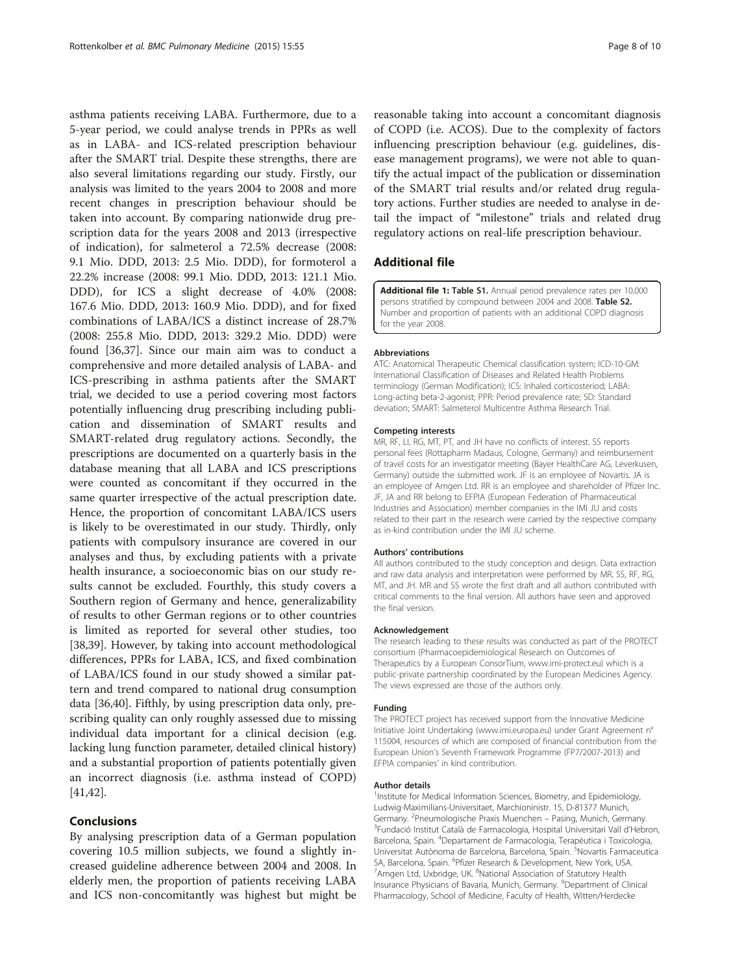<span id="page-7-0"></span>asthma patients receiving LABA. Furthermore, due to a 5-year period, we could analyse trends in PPRs as well as in LABA- and ICS-related prescription behaviour after the SMART trial. Despite these strengths, there are also several limitations regarding our study. Firstly, our analysis was limited to the years 2004 to 2008 and more recent changes in prescription behaviour should be taken into account. By comparing nationwide drug prescription data for the years 2008 and 2013 (irrespective of indication), for salmeterol a 72.5% decrease (2008: 9.1 Mio. DDD, 2013: 2.5 Mio. DDD), for formoterol a 22.2% increase (2008: 99.1 Mio. DDD, 2013: 121.1 Mio. DDD), for ICS a slight decrease of 4.0% (2008: 167.6 Mio. DDD, 2013: 160.9 Mio. DDD), and for fixed combinations of LABA/ICS a distinct increase of 28.7% (2008: 255.8 Mio. DDD, 2013: 329.2 Mio. DDD) were found [\[36,37\]](#page-8-0). Since our main aim was to conduct a comprehensive and more detailed analysis of LABA- and ICS-prescribing in asthma patients after the SMART trial, we decided to use a period covering most factors potentially influencing drug prescribing including publication and dissemination of SMART results and SMART-related drug regulatory actions. Secondly, the prescriptions are documented on a quarterly basis in the database meaning that all LABA and ICS prescriptions were counted as concomitant if they occurred in the same quarter irrespective of the actual prescription date. Hence, the proportion of concomitant LABA/ICS users is likely to be overestimated in our study. Thirdly, only patients with compulsory insurance are covered in our analyses and thus, by excluding patients with a private health insurance, a socioeconomic bias on our study results cannot be excluded. Fourthly, this study covers a Southern region of Germany and hence, generalizability of results to other German regions or to other countries is limited as reported for several other studies, too [[38,39\]](#page-8-0). However, by taking into account methodological differences, PPRs for LABA, ICS, and fixed combination of LABA/ICS found in our study showed a similar pattern and trend compared to national drug consumption data [\[36,](#page-8-0)[40\]](#page-9-0). Fifthly, by using prescription data only, prescribing quality can only roughly assessed due to missing individual data important for a clinical decision (e.g. lacking lung function parameter, detailed clinical history) and a substantial proportion of patients potentially given an incorrect diagnosis (i.e. asthma instead of COPD) [[41,42\]](#page-9-0).

## Conclusions

By analysing prescription data of a German population covering 10.5 million subjects, we found a slightly increased guideline adherence between 2004 and 2008. In elderly men, the proportion of patients receiving LABA and ICS non-concomitantly was highest but might be reasonable taking into account a concomitant diagnosis of COPD (i.e. ACOS). Due to the complexity of factors influencing prescription behaviour (e.g. guidelines, disease management programs), we were not able to quantify the actual impact of the publication or dissemination of the SMART trial results and/or related drug regulatory actions. Further studies are needed to analyse in detail the impact of "milestone" trials and related drug regulatory actions on real-life prescription behaviour.

## Additional file

[Additional file 1:](http://www.biomedcentral.com/content/supplementary/s12890-015-0051-x-s1.docx) Table S1. Annual period prevalence rates per 10,000 persons stratified by compound between 2004 and 2008. Table S2. Number and proportion of patients with an additional COPD diagnosis for the year 2008.

#### Abbreviations

ATC: Anatomical Therapeutic Chemical classification system; ICD-10-GM: International Classification of Diseases and Related Health Problems terminology (German Modification); ICS: Inhaled corticosteriod; LABA: Long-acting beta-2-agonist; PPR: Period prevalence rate; SD: Standard deviation; SMART: Salmeterol Multicentre Asthma Research Trial.

#### Competing interests

MR, RF, LI, RG, MT, PT, and JH have no conflicts of interest. SS reports personal fees (Rottapharm Madaus, Cologne, Germany) and reimbursement of travel costs for an investigator meeting (Bayer HealthCare AG, Leverkusen, Germany) outside the submitted work. JF is an employee of Novartis. JA is an employee of Amgen Ltd. RR is an employee and shareholder of Pfizer Inc. JF, JA and RR belong to EFPIA (European Federation of Pharmaceutical Industries and Association) member companies in the IMI JU and costs related to their part in the research were carried by the respective company as in-kind contribution under the IMI JU scheme.

#### Authors' contributions

All authors contributed to the study conception and design. Data extraction and raw data analysis and interpretation were performed by MR, SS, RF, RG, MT, and JH. MR and SS wrote the first draft and all authors contributed with critical comments to the final version. All authors have seen and approved the final version.

#### Acknowledgement

The research leading to these results was conducted as part of the PROTECT consortium (Pharmacoepidemiological Research on Outcomes of Therapeutics by a European ConsorTium, [www.imi-protect.eu\)](http://www.imi-protect.eu/) which is a public-private partnership coordinated by the European Medicines Agency. The views expressed are those of the authors only.

#### Funding

The PROTECT project has received support from the Innovative Medicine Initiative Joint Undertaking ([www.imi.europa.eu\)](http://www.imi.europa.eu/) under Grant Agreement n° 115004, resources of which are composed of financial contribution from the European Union's Seventh Framework Programme (FP7/2007-2013) and EFPIA companies' in kind contribution.

#### Author details

<sup>1</sup>Institute for Medical Information Sciences, Biometry, and Epidemiology, Ludwig-Maximilians-Universitaet, Marchioninistr. 15, D-81377 Munich, Germany. <sup>2</sup>Pneumologische Praxis Muenchen – Pasing, Munich, Germany.<br><sup>3</sup>Eundació Institut Català de Earmacologia. Hospital Universitari Vall d'Heb <sup>3</sup>Fundació Institut Català de Farmacologia, Hospital Universitari Vall d'Hebron, Barcelona, Spain. <sup>4</sup> Departament de Farmacologia, Terapèutica i Toxicologia, Universitat Autònoma de Barcelona, Barcelona, Spain. <sup>5</sup>Novartis Farmaceutica SA, Barcelona, Spain. <sup>6</sup> Pfizer Research & Development, New York, USA.<br><sup>7</sup> Amgen Ltd. Ushridge UK. <sup>8</sup> National Association of Statutory Health. Amgen Ltd, Uxbridge, UK. <sup>8</sup>National Association of Statutory Health Insurance Physicians of Bavaria, Munich, Germany. <sup>9</sup>Department of Clinical Pharmacology, School of Medicine, Faculty of Health, Witten/Herdecke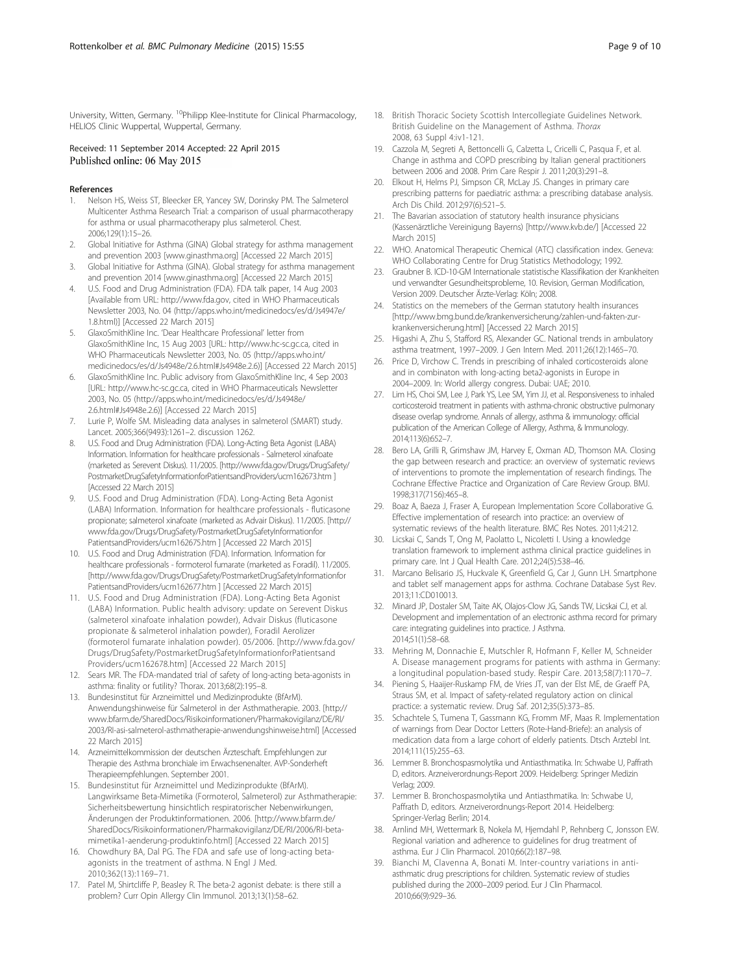<span id="page-8-0"></span>University, Witten, Germany. <sup>10</sup>Philipp Klee-Institute for Clinical Pharmacology, HELIOS Clinic Wuppertal, Wuppertal, Germany.

#### Received: 11 September 2014 Accepted: 22 April 2015 Published online: 06 May 2015

#### References

- 1. Nelson HS, Weiss ST, Bleecker ER, Yancey SW, Dorinsky PM. The Salmeterol Multicenter Asthma Research Trial: a comparison of usual pharmacotherapy for asthma or usual pharmacotherapy plus salmeterol. Chest. 2006;129(1):15–26.
- 2. Global Initiative for Asthma (GINA) Global strategy for asthma management and prevention 2003 [\[www.ginasthma.org\]](http://www.ginasthma.org/) [Accessed 22 March 2015]
- 3. Global Initiative for Asthma (GINA). Global strategy for asthma management and prevention 2014 [\[www.ginasthma.org\]](http://www.ginasthma.org/) [Accessed 22 March 2015]
- 4. U.S. Food and Drug Administration (FDA). FDA talk paper, 14 Aug 2003 [Available from URL: [http://www.fda.gov,](http://www.fda.gov/) cited in WHO Pharmaceuticals Newsletter 2003, No. 04 ([http://apps.who.int/medicinedocs/es/d/Js4947e/](http://apps.who.int/medicinedocs/es/d/Js4947e/1.8.html) [1.8.html](http://apps.who.int/medicinedocs/es/d/Js4947e/1.8.html))] [Accessed 22 March 2015]
- 5. GlaxoSmithKline Inc. 'Dear Healthcare Professional' letter from GlaxoSmithKline Inc, 15 Aug 2003 [URL: [http://www.hc-sc.gc.ca](http://www.hc-sc.gc.ca/), cited in WHO Pharmaceuticals Newsletter 2003, No. 05 ([http://apps.who.int/](http://apps.who.int/medicinedocs/es/d/Js4948e/2.6.html#Js4948e.2.6) [medicinedocs/es/d/Js4948e/2.6.html#Js4948e.2.6](http://apps.who.int/medicinedocs/es/d/Js4948e/2.6.html#Js4948e.2.6))] [Accessed 22 March 2015]
- 6. GlaxoSmithKline Inc. Public advisory from GlaxoSmithKline Inc, 4 Sep 2003 [URL: [http://www.hc-sc.gc.ca,](http://www.hc-sc.gc.ca/) cited in WHO Pharmaceuticals Newsletter 2003, No. 05 [\(http://apps.who.int/medicinedocs/es/d/Js4948e/](http://apps.who.int/medicinedocs/es/d/Js4948e/2.6.html#Js4948e.2.6) [2.6.html#Js4948e.2.6\)](http://apps.who.int/medicinedocs/es/d/Js4948e/2.6.html#Js4948e.2.6)] [Accessed 22 March 2015]
- 7. Lurie P, Wolfe SM. Misleading data analyses in salmeterol (SMART) study. Lancet. 2005;366(9493):1261–2. discussion 1262.
- 8. U.S. Food and Drug Administration (FDA). Long-Acting Beta Agonist (LABA) Information. Information for healthcare professionals - Salmeterol xinafoate (marketed as Serevent Diskus). 11/2005. [[http://www.fda.gov/Drugs/DrugSafety/](http://www.fda.gov/Drugs/DrugSafety/PostmarketDrugSafetyInformationforPatientsandProviders/ucm162673.htm) [PostmarketDrugSafetyInformationforPatientsandProviders/ucm162673.htm](http://www.fda.gov/Drugs/DrugSafety/PostmarketDrugSafetyInformationforPatientsandProviders/ucm162673.htm) ] [Accessed 22 March 2015]
- 9. U.S. Food and Drug Administration (FDA). Long-Acting Beta Agonist (LABA) Information. Information for healthcare professionals - fluticasone propionate; salmeterol xinafoate (marketed as Advair Diskus). 11/2005. [[http://](http://www.fda.gov/Drugs/DrugSafety/PostmarketDrugSafetyInformationforPatientsandProviders/ucm162675.htm) [www.fda.gov/Drugs/DrugSafety/PostmarketDrugSafetyInformationfor](http://www.fda.gov/Drugs/DrugSafety/PostmarketDrugSafetyInformationforPatientsandProviders/ucm162675.htm) [PatientsandProviders/ucm162675.htm](http://www.fda.gov/Drugs/DrugSafety/PostmarketDrugSafetyInformationforPatientsandProviders/ucm162675.htm) ] [Accessed 22 March 2015]
- 10. U.S. Food and Drug Administration (FDA). Information. Information for healthcare professionals - formoterol fumarate (marketed as Foradil). 11/2005. [\[http://www.fda.gov/Drugs/DrugSafety/PostmarketDrugSafetyInformationfor](http://www.fda.gov/Drugs/DrugSafety/PostmarketDrugSafetyInformationforPatientsandProviders/ucm162677.htm) [PatientsandProviders/ucm162677.htm](http://www.fda.gov/Drugs/DrugSafety/PostmarketDrugSafetyInformationforPatientsandProviders/ucm162677.htm) ] [Accessed 22 March 2015]
- 11. U.S. Food and Drug Administration (FDA). Long-Acting Beta Agonist (LABA) Information. Public health advisory: update on Serevent Diskus (salmeterol xinafoate inhalation powder), Advair Diskus (fluticasone propionate & salmeterol inhalation powder), Foradil Aerolizer (formoterol fumarate inhalation powder). 05/2006. [[http://www.fda.gov/](http://www.fda.gov/Drugs/DrugSafety/PostmarketDrugSafetyInformationforPatientsandProviders/ucm162678.htm) [Drugs/DrugSafety/PostmarketDrugSafetyInformationforPatientsand](http://www.fda.gov/Drugs/DrugSafety/PostmarketDrugSafetyInformationforPatientsandProviders/ucm162678.htm) [Providers/ucm162678.htm\]](http://www.fda.gov/Drugs/DrugSafety/PostmarketDrugSafetyInformationforPatientsandProviders/ucm162678.htm) [Accessed 22 March 2015]
- 12. Sears MR. The FDA-mandated trial of safety of long-acting beta-agonists in asthma: finality or futility? Thorax. 2013;68(2):195–8.
- 13. Bundesinstitut für Arzneimittel und Medizinprodukte (BfArM). Anwendungshinweise für Salmeterol in der Asthmatherapie. 2003. [\[http://](http://www.bfarm.de/SharedDocs/Risikoinformationen/Pharmakovigilanz/DE/RI/2003/RI-asi-salmeterol-asthmatherapie-anwendungshinweise.html) [www.bfarm.de/SharedDocs/Risikoinformationen/Pharmakovigilanz/DE/RI/](http://www.bfarm.de/SharedDocs/Risikoinformationen/Pharmakovigilanz/DE/RI/2003/RI-asi-salmeterol-asthmatherapie-anwendungshinweise.html) [2003/RI-asi-salmeterol-asthmatherapie-anwendungshinweise.html](http://www.bfarm.de/SharedDocs/Risikoinformationen/Pharmakovigilanz/DE/RI/2003/RI-asi-salmeterol-asthmatherapie-anwendungshinweise.html)] [Accessed 22 March 2015]
- 14. Arzneimittelkommission der deutschen Ärzteschaft. Empfehlungen zur Therapie des Asthma bronchiale im Erwachsenenalter. AVP-Sonderheft Therapieempfehlungen. September 2001.
- 15. Bundesinstitut für Arzneimittel und Medizinprodukte (BfArM). Langwirksame Beta-Mimetika (Formoterol, Salmeterol) zur Asthmatherapie: Sicherheitsbewertung hinsichtlich respiratorischer Nebenwirkungen, Änderungen der Produktinformationen. 2006. [\[http://www.bfarm.de/](http://www.bfarm.de/SharedDocs/Risikoinformationen/Pharmakovigilanz/DE/RI/2006/RI-beta-mimetika1-aenderung-produktinfo.html) [SharedDocs/Risikoinformationen/Pharmakovigilanz/DE/RI/2006/RI-beta](http://www.bfarm.de/SharedDocs/Risikoinformationen/Pharmakovigilanz/DE/RI/2006/RI-beta-mimetika1-aenderung-produktinfo.html)[mimetika1-aenderung-produktinfo.html\]](http://www.bfarm.de/SharedDocs/Risikoinformationen/Pharmakovigilanz/DE/RI/2006/RI-beta-mimetika1-aenderung-produktinfo.html) [Accessed 22 March 2015]
- 16. Chowdhury BA, Dal PG. The FDA and safe use of long-acting betaagonists in the treatment of asthma. N Engl J Med. 2010;362(13):1169–71.
- 17. Patel M, Shirtcliffe P, Beasley R. The beta-2 agonist debate: is there still a problem? Curr Opin Allergy Clin Immunol. 2013;13(1):58–62.
- 18. British Thoracic Society Scottish Intercollegiate Guidelines Network. British Guideline on the Management of Asthma. Thorax 2008, 63 Suppl 4:iv1-121.
- 19. Cazzola M, Segreti A, Bettoncelli G, Calzetta L, Cricelli C, Pasqua F, et al. Change in asthma and COPD prescribing by Italian general practitioners between 2006 and 2008. Prim Care Respir J. 2011;20(3):291–8.
- 20. Elkout H, Helms PJ, Simpson CR, McLay JS. Changes in primary care prescribing patterns for paediatric asthma: a prescribing database analysis. Arch Dis Child. 2012;97(6):521–5.
- 21. The Bavarian association of statutory health insurance physicians (Kassenärztliche Vereinigung Bayerns) [\[http://www.kvb.de/\]](http://www.kvb.de/) [Accessed 22 March 2015]
- 22. WHO. Anatomical Therapeutic Chemical (ATC) classification index. Geneva: WHO Collaborating Centre for Drug Statistics Methodology; 1992.
- 23. Graubner B. ICD-10-GM Internationale statistische Klassifikation der Krankheiten und verwandter Gesundheitsprobleme, 10. Revision, German Modification, Version 2009. Deutscher Ärzte-Verlag: Köln; 2008.
- 24. Statistics on the memebers of the German statutory health insurances [[http://www.bmg.bund.de/krankenversicherung/zahlen-und-fakten-zur](http://www.bmg.bund.de/krankenversicherung/zahlen-und-fakten-zur-krankenversicherung.html)[krankenversicherung.html\]](http://www.bmg.bund.de/krankenversicherung/zahlen-und-fakten-zur-krankenversicherung.html) [Accessed 22 March 2015]
- 25. Higashi A, Zhu S, Stafford RS, Alexander GC. National trends in ambulatory asthma treatment, 1997–2009. J Gen Intern Med. 2011;26(12):1465–70.
- 26. Price D, Virchow C. Trends in prescribing of inhaled corticosteroids alone and in combinaton with long-acting beta2-agonists in Europe in 2004–2009. In: World allergy congress. Dubai: UAE; 2010.
- 27. Lim HS, Choi SM, Lee J, Park YS, Lee SM, Yim JJ, et al. Responsiveness to inhaled corticosteroid treatment in patients with asthma-chronic obstructive pulmonary disease overlap syndrome. Annals of allergy, asthma & immunology: official publication of the American College of Allergy, Asthma, & Immunology. 2014;113(6):652–7.
- 28. Bero LA, Grilli R, Grimshaw JM, Harvey E, Oxman AD, Thomson MA. Closing the gap between research and practice: an overview of systematic reviews of interventions to promote the implementation of research findings. The Cochrane Effective Practice and Organization of Care Review Group. BMJ. 1998;317(7156):465–8.
- 29. Boaz A, Baeza J, Fraser A, European Implementation Score Collaborative G. Effective implementation of research into practice: an overview of systematic reviews of the health literature. BMC Res Notes. 2011;4:212.
- 30. Licskai C, Sands T, Ong M, Paolatto L, Nicoletti I. Using a knowledge translation framework to implement asthma clinical practice guidelines in primary care. Int J Qual Health Care. 2012;24(5):538–46.
- 31. Marcano Belisario JS, Huckvale K, Greenfield G, Car J, Gunn LH. Smartphone and tablet self management apps for asthma. Cochrane Database Syst Rev. 2013;11:CD010013.
- 32. Minard JP, Dostaler SM, Taite AK, Olajos-Clow JG, Sands TW, Licskai CJ, et al. Development and implementation of an electronic asthma record for primary care: integrating guidelines into practice. J Asthma. 2014;51(1):58–68.
- 33. Mehring M, Donnachie E, Mutschler R, Hofmann F, Keller M, Schneider A. Disease management programs for patients with asthma in Germany: a longitudinal population-based study. Respir Care. 2013;58(7):1170–7.
- 34. Piening S, Haaijer-Ruskamp FM, de Vries JT, van der Elst ME, de Graeff PA, Straus SM, et al. Impact of safety-related regulatory action on clinical practice: a systematic review. Drug Saf. 2012;35(5):373–85.
- 35. Schachtele S, Tumena T, Gassmann KG, Fromm MF, Maas R. Implementation of warnings from Dear Doctor Letters (Rote-Hand-Briefe): an analysis of medication data from a large cohort of elderly patients. Dtsch Arztebl Int. 2014;111(15):255–63.
- 36. Lemmer B. Bronchospasmolytika und Antiasthmatika. In: Schwabe U, Paffrath D, editors. Arzneiverordnungs-Report 2009. Heidelberg: Springer Medizin Verlag; 2009.
- 37. Lemmer B. Bronchospasmolytika und Antiasthmatika. In: Schwabe U, Paffrath D, editors. Arzneiverordnungs-Report 2014. Heidelberg: Springer-Verlag Berlin; 2014.
- 38. Arnlind MH, Wettermark B, Nokela M, Hjemdahl P, Rehnberg C, Jonsson EW. Regional variation and adherence to guidelines for drug treatment of asthma. Eur J Clin Pharmacol. 2010;66(2):187–98.
- 39. Bianchi M, Clavenna A, Bonati M. Inter-country variations in antiasthmatic drug prescriptions for children. Systematic review of studies published during the 2000–2009 period. Eur J Clin Pharmacol. 2010;66(9):929–36.